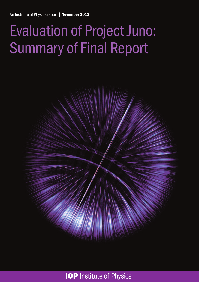# Evaluation of Project Juno: Summary of Final Report



# **IOP Institute of Physics**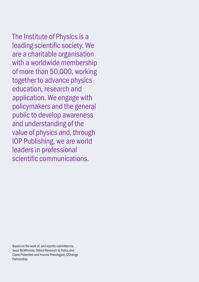The Institute of Physics is a leading scientific society. We are a charitable organisation with a worldwide membership of more than 50,000, working together to advance physics education, research and application. We engage with policymakers and the general public to develop awareness and understanding of the value of physics and, through IOP Publishing, we are world leaders in professional scientific communications.

Based on the work of, and reports submitted by, Sean McWhinnie, Oxford Research & Policy and Claire Pickerden and Yvonne Prendegast, CChange Partnership.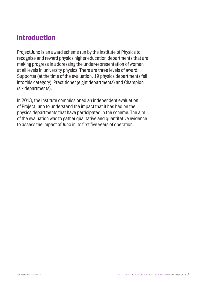# Introduction

Project Juno is an award scheme run by the Institute of Physics to recognise and reward physics higher education departments that are making progress in addressing the under-representation of women at all levels in university physics. There are three levels of award: Supporter (at the time of the evaluation, 19 physics departments fell into this category), Practitioner (eight departments) and Champion (six departments).

In 2013, the Institute commissioned an independent evaluation of Project Juno to understand the impact that it has had on the physics departments that have participated in the scheme. The aim of the evaluation was to gather qualitative and quantitative evidence to assess the impact of Juno in its first five years of operation.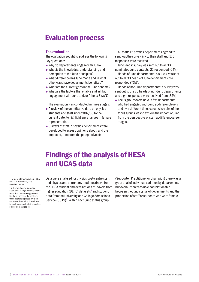# Evaluation process

### The evaluation

The evaluation sought to address the following key questions:

- Why do departments engage with Juno?
- What is the knowledge, understanding and perception of the Juno principles?
- What difference has Juno made and in what other ways have departments benefited?
- What are the current gaps in the Juno scheme?
- What are the factors that enable and inhibit engagement with Juno and/or Athena SWAN?

The evaluation was conducted in three stages:

- $\bullet$  A review of the quantitative data on physics students and staff since 2007/08 to the current date, to highlight any changes in female representation.
- Surveys of staff in physics departments were developed to assess opinions about, and the impact of, Juno from the perspective of:

All staff: 15 physics departments agreed to send out the survey link to their staff and 175 responses were received.

Juno leads: survey was sent out to all 33 nominated Juno contacts; 21 responded (64%).

Heads of Juno departments: a survey was sent out to all 33 heads of Juno departments: 24 responded (73%).

Heads of non-Juno departments: a survey was sent out to the 23 heads of non-Juno departments and eight responses were received from (35%).

 $\bullet$  Focus groups were held in five departments who had engaged with Juno at different levels and over different timescales. A key aim of the focus groups was to explore the impact of Juno from the perspective of staff at different career stages.

# Findings of the analysis of HESA and UCAS data

 $1$  For more information about HESA data and its caveats, visit [www.hesa.ac.uk.](http://www.hesa.ac.uk/)

 $2$  In the raw data for individual institutions, categories that include fewer than three are suppressed. For the purposes of the analysis, these data are replaced by "1" in each case. Inevitably, this will lead to small inaccuracies in the numbers presented in the tables.

Data were analysed for physics cost-centre staff, and physics and astronomy students drawn from the HESA student and destinations of leavers from higher education (DLHE) datasets $^1$  and student data from the University and College Admissions Service  $(UCAS)^2$ . Within each Juno status group

(Supporter, Practitioner or Champion) there was a great deal of individual variation by department, but overall there was no clear relationship between the Juno status of departments and the proportion of staff or students who were female.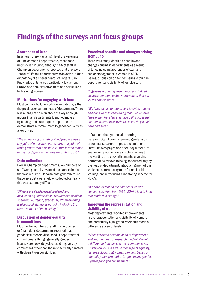# Findings of the surveys and focus groups

### Awareness of Juno

In general, there was a high level of awareness of Juno across all departments, even those not involved in Juno, although 14% of staff in Champion departments reported that they were "not sure" if their department was involved in Juno or that they "had never heard" of Project Juno. Knowledge of Juno was particularly low among PDRAs and administrative staff, and particularly high among women.

### Motivations for engaging with Juno

Most commonly, Juno work was initiated by either the previous or current head of department. There was a range of opinion about the key although groups in all departments identified moves by funding bodies to require departments to demonstrate a commitment to gender equality as a key driver.

*"The embedding of existing good practice was a key point of motivation particularly at a point of rapid growth; that a positive culture is maintained and is not dependent on existing staff in post."*

# Data collection

Even in Champion departments, low numbers of staff were generally aware of the data collection that was required. Departments generally found that where data were held or collected centrally, this was extremely difficult.

*"All data are gender-disaggregated and discussed e.g. admissions, recruitment, seminar speakers, outreach, everything. When anything is discussed, gender is part of it including the refurbishment of the building."* 

# Discussion of gender equality in committees

Much higher numbers of staff in Practitioner or Champions departments reported that gender issues were discussed in departmental committees, although generally gender issues were not widely discussed regularly by committees other than those specifically charged with diversity responsibilities.

# Perceived benefits and changes arising from Juno

There were many identified benefits and changes arising in departments as a result of Juno, including awareness of staff and senior management in women in STEM issues, discussion on gender issues within the department and visibility of female staff.

*"It gave us proper representation and helped us as researchers to feel more valued, that our voices can be heard."*

*"We have lost a number of very talented people and don't want to keep doing that. Two or three female members left and have built successful academic careers elsewhere, which they could have had here."*

Practical changes included setting up a Research Staff Forum, improved gender ratio of seminar speakers, improved recruitment literature, web pages and open-day material to ensure more women were visible, changes to the wording of job advertisements, changing performance reviews to being conducted only by the head of department, introducing promotions workshops, introducing more formal flexible working, and introducing a mentoring scheme for PDRAs.

*"We have increased the number of women seminar speakers from 5% to 20–30%. It is Juno that made this change."*

# Improving the representation and visibility of women

Most departments reported improvements in the representation and visibility of women, and particularly highlighted where this made a difference at senior levels.

*"Since a woman became head of department, and another head of research funding, I've felt a difference. You can see the promotion level, it's very obvious. It gives a message of equality, just feels good, that women can do it based on capability, that promotion is open to any gender, if you're good you can be there."*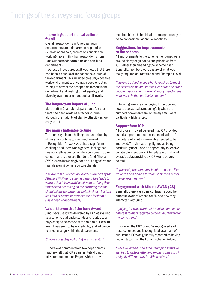# Improving departmental culture for all

Overall, respondents in Juno Champion departments rated departmental practices (such as appraisals, promotions and flexible working) more highly than respondents from Juno Supporter departments and non-Juno departments.

Across all focus groups, it was noted that there had been a beneficial impact on the culture of the department. This included creating a positive work environment to encourage people to stay, helping to attract the best people to work in the department and seeking to get equality and diversity awareness embedded at all levels.

### The longer-term impact of Juno

More staff in Champion departments felt that there had been a lasting effect on culture, although the majority of staff felt that it was too early to tell.

#### The main challenges to Juno

The most significant challenge to Juno, cited by all, was lack of time to carry out the work.

Recognition for work was also a significant challenge and there was a general feeling that this work fell disproportionately on women. Some concern was expressed that Juno (and Athena SWAN) were increasingly seen as "badges" rather than delivering genuine culture change.

*"I'm aware that women are overly burdened by the Athena SWAN/Juno administration. This leads to worries that it's an awful lot of women doing this; that women are taking on the nurturing role for changing the departments but this doesn't in turn lead into or create permanent roles for them." (Male head of department)*

#### Value: the worth of the Juno Award

Juno, because it was delivered by IOP, was valued as a scheme that understands and relates to a physics-specific context that compares "like with like". It was seen to have credibility and influence to effect change within the department.

#### *"Juno is subject-specific. It gives it strength."*

There was comment from two departments that they felt that IOP as an institute did not fully promote the Juno Project within its own

membership and should take more opportunity to do so, for example, at annual meetings.

### Suggestions for improvements to the scheme

All improvements to the scheme mentioned were around clarity of guidance and principles from IOP, rather than amending the scheme itself. Generally, members were unsure of what was really required at Practitioner and Champion level.

*"It would be good to see what is required to meet the evaluation points. Perhaps we could see other people's applications – even if anonymised to see what works in that particular section."* 

Knowing how to evidence good practice and how to use statistics meaningfully when the numbers of women were extremely small were particularly highlighted.

### Support from IOP

All of those involved believed that IOP provided useful support but that the communication of the details of what was available needed to be improved. The visit was highlighted as being particularly useful and an opportunity to receive constructive feedback. A template with national average data, provided by IOP, would be very helpful.

*"It [the visit] was very, very helpful and it felt like we were being helped towards something rather than an examination."*

#### Engagement with Athena SWAN (AS)

Generally there was some confusion about the different levels of Athena SWAN and how they interacted with Juno.

*"Applying for two awards with similar content but different formats required twice as much work for the same thing."*

However, the IOP "brand" is recognised and trusted; hence Juno is recognised as a mark of quality and IOP was generally regarded as having higher status than the Equality Challenge Unit.

*"Since we already had Juno Champion status we just had to write a letter and re-cast some stuff in a slightly different way for Athena silver."*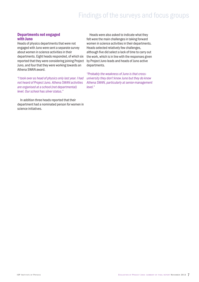# Findings of the surveys and focus groups

### Departments not engaged with Juno

Heads of physics departments that were not engaged with Juno were sent a separate survey about women in science activities in their departments. Eight heads responded, of which six reported that they were considering joining Project Juno, and four that they were working towards an Athena SWAN award.

*"I took over as head of physics only last year. I had not heard of Project Juno. Athena SWAN activities are organised at a school (not departmental) level. Our school has silver status."*

In addition three heads reported that their department had a nominated person for women in science initiatives.

Heads were also asked to indicate what they felt were the main challenges in taking forward women in science activities in their departments. Heads selected relatively few challenges, although five did select a lack of time to carry out the work, which is in line with the responses given by Project Juno leads and heads of Juno active departments.

*"Probably the weakness of Juno is that crossuniversity they don't know Juno but they do know Athena SWAN, particularly at senior-management level."*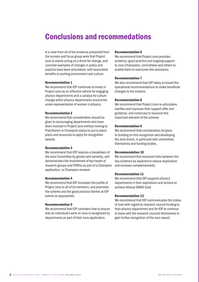# Conclusions and recommedations

It is clear from all of the evidence presented from the surveys and focus group work that Project Juno is clearly acting as a driver for change, and concrete examples of changes in policy and practice have been articulated, with associated benefits to working environment and culture.

#### Recommendation 1

We recommend that IOP continues to invest in Project Juno as an effective vehicle for engaging physics departments and a catalyst for culture change within physics departments around the under-representation of women in physics.

#### Recommendation 2

We recommend that consideration should be given to encouraging departments who have been involved in Project Juno without moving to Practitioner or Champion status to put in place plans and resources to apply for recognition awards.

#### Recommendation 3

We recommend that IOP requires a breakdown of the Juno Committee by gender and seniority, and demonstrates the involvement of key heads of research groups and PDRAs as part of a Champion application, or Champion renewal.

#### Recommendation 4

We recommend that IOP increases the profile of Project Juno to all of its members, and promotes the scheme and the good practice therein at IOP events as appropriate.

#### Recommendation 5

We recommend that IOP considers how to ensure that an individual's work on Juno is recognised by departments as part of their Juno application.

#### Recommendation 6

We recommend that Project Juno provides evidence, good practice and ongoing support to Juno Champions, committees and others to enable them to overcome this resistance.

#### Recommendation 7

We also recommend that IOP takes on board the operational recommendations to make beneficial changes to the scheme.

#### Recommendation 8

We recommend that Project Juno re-articulates, clarifies and improves their support offer and guidance, and continues to resource this important element of the scheme.

#### Recommendation 9

We recommend that consideration be given to building on this recognition and developing the Juno brand, in particular with universities themselves and funding bodies.

#### Recommendation 10

We recommend that improved links between the two schemes be explored to reduce duplication and increase complementarily.

#### Recommendation 11

We recommend that IOP supports physics departments in their aspirations and actions to achieve Athena SWAN Gold.

### Recommendation 12

We recommend that IOP communicates the status of Juno with regard to research council funding to their physics department and for IOP to continue to liaise with the research councils themselves to gain further recognition of the Juno award.